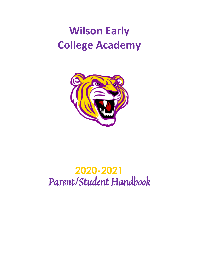# **Wilson Early College Academy**



# **2020-2021** Parent/Student Handbook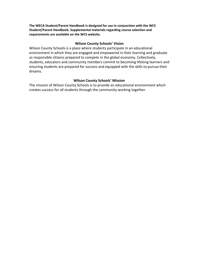**The WECA Student/Parent Handbook is designed for use in conjunction with the WCS Student/Parent Handbook. Supplemental materials regarding course selection and requirements are available on the WCS website.**

#### **Wilson County Schools' Vision**

Wilson County Schools is a place where students participate in an educational environment in which they are engaged and empowered in their learning and graduate as responsible citizens prepared to compete in the global economy. Collectively, students, educators and community members commit to becoming lifelong learners and ensuring students are prepared for success and equipped with the skills to pursue their dreams.

### **Wilson County Schools' Mission**

The mission of Wilson County Schools is to provide an educational environment which creates success for all students through the community working together.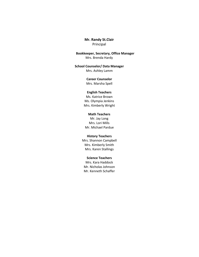**Mr. Randy St.Clair** Principal

**Bookkeeper, Secretary, Office Manager** Mrs. Brenda Hardy

#### **School Counselor/ Data Manager**

Mrs. Ashley Lamm

## **Career Counselor**

Mrs. Marsha Spell

#### **English Teachers**

Ms. Katrice Brown Ms. Olympia Jenkins Mrs. Kimberly Wright

#### **Math Teachers**

Mr. Jay Long Mrs. Lori Mills Mr. Michael Pardue

#### **History Teachers**

Mrs. Shannon Campbell Mrs. Kimberly Smith Mrs. Karen Stallings

#### **Science Teachers**

Mrs. Kara Haddock Mr. Nicholas Johnson Mr. Kenneth Schaffer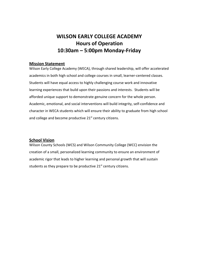# **WILSON EARLY COLLEGE ACADEMY Hours of Operation 10:30am – 5:00pm Monday-Friday**

### **Mission Statement**

Wilson Early College Academy (WECA), through shared leadership, will offer accelerated academics in both high school and college courses in small, learner-centered classes. Students will have equal access to highly challenging course work and innovative learning experiences that build upon their passions and interests. Students will be afforded unique support to demonstrate genuine concern for the whole person. Academic, emotional, and social interventions will build integrity, self-confidence and character in WECA students which will ensure their ability to graduate from high school and college and become productive 21<sup>st</sup> century citizens.

#### **School Vision**

Wilson County Schools (WCS) and Wilson Community College (WCC) envision the creation of a small, personalized learning community to ensure an environment of academic rigor that leads to higher learning and personal growth that will sustain students as they prepare to be productive 21 $^{\text{st}}$  century citizens.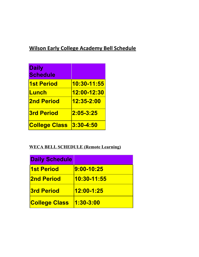# **Wilson Early College Academy Bell Schedule**

| <b>Daily</b><br><b>Schedule</b> |                     |
|---------------------------------|---------------------|
| <b>1st Period</b>               | <u> 10:30-11:55</u> |
| <b>Lunch</b>                    | <u>12:00-12:30</u>  |
| <b>2nd Period</b>               | 12:35-2:00          |
| <b>3rd Period</b>               | 2:05-3:25           |
| <b>College Class</b>            | <u>3:30-4:50</u>    |

## **WECA BELL SCHEDULE (Remote Learning)**

| <b>Daily Schedule</b> |             |
|-----------------------|-------------|
| <b>1st Period</b>     | 9:00-10:25  |
| <b>2nd Period</b>     | 10:30-11:55 |
| <b>3rd Period</b>     | 12:00-1:25  |
| <b>College Class</b>  | $1:30-3:00$ |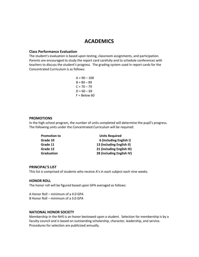## **ACADEMICS**

#### **Class Performance Evaluation**

The student's evaluation is based upon testing, classroom assignments, and participation. Parents are encouraged to study the report card carefully and to schedule conferences with teachers to discuss the student's progress. The grading system used in report cards for the Concentrated Curriculum is as follows:

> $A = 90 - 100$  $B = 80 - 89$  $C = 70 - 79$  $D = 60 - 69$  $F =$  Below 60

#### **PROMOTIONS**

In the high school program, the number of units completed will determine the pupil's progress. The following units under the Concentrated Curriculum will be required:

| <b>Units Required</b>      |
|----------------------------|
| 6 (including English I)    |
| 13 (including English II)  |
| 21 (including English III) |
| 28 (including English IV)  |
|                            |

#### **PRINCIPAL'S LIST**

This list is comprised of students who receive A's in each subject each nine weeks.

#### **HONOR ROLL**

The honor roll will be figured based upon GPA averaged as follows:

A Honor Roll – minimum of a 4.0 GPA B Honor Roll – minimum of a 3.0 GPA

#### **NATIONAL HONOR SOCIETY**

Membership in the NHS is an honor bestowed upon a student. Selection for membership is by a faculty council and is based on outstanding scholarship, character, leadership, and service. Procedures for selection are publicized annually.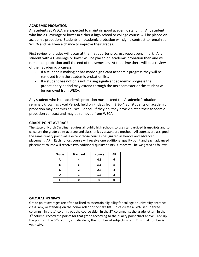### **ACADEMIC PROBATION**

All students at WECA are expected to maintain good academic standing. Any student who has a D average or lower in either a high school or college course will be placed on academic probation. Students on academic probation will sign a contract to remain at WECA and be given a chance to improve their grades.

First review of grades will occur at the first quarter progress report benchmark. Any student with a D average or lower will be placed on academic probation then and will remain on probation until the end of the semester. At that time there will be a review of their academic progress.

- If a student is making or has made significant academic progress they will be removed from the academic probation list.
- If a student has not or is not making significant academic progress the probationary period may extend through the next semester or the student will be removed from WECA.

Any student who is on academic probation must attend the Academic Probation seminar, known as Excel Period, held on Fridays from 3:30-4:30. Students on academic probation may not miss an Excel Period. If they do, they have violated their academic probation contract and may be removed from WECA.

#### **GRADE-POINT AVERAGE**

The state of North Carolina requires all public high schools to use standardized transcripts and to calculate the grade point average and class rank by a standard method. All courses are assigned the same quality point value except those courses designated as honors and advanced placement (AP). Each honors course will receive one additional quality point and each advanced placement course will receive two additional quality points. Grades will be weighted as follows:

| Grade | <b>Standard</b> | <b>Honors</b> | АP |
|-------|-----------------|---------------|----|
| Α     |                 | 4.5           | 6  |
| B     |                 | 3.5           |    |
| C     | 7               | 2.5           |    |
| מ     |                 | 1.5           |    |
|       |                 |               |    |

#### **CALCULATING GPA'S**

Grade point averages are often utilized to ascertain eligibility for college or university entrance, class rank, or standing on the honor roll or principal's list. To calculate a GPA, set up three columns. In the 1<sup>st</sup> column, put the course title. In the 2<sup>nd</sup> column, list the grade letter. In the 3<sup>rd</sup> column, record the points for that grade according to the quality point chart above. Add up the points in the 3<sup>rd</sup> column, and divide by the number of subjects listed. This final number is your GPA.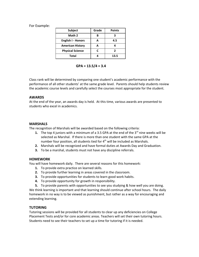#### For Example:

| <b>Subject</b>            | Grade | <b>Points</b> |
|---------------------------|-------|---------------|
| Math 2                    |       |               |
| <b>English I - Honors</b> |       | 4.5           |
| <b>American History</b>   |       |               |
| <b>Physical Science</b>   |       | 7             |
| <b>Total</b>              |       | 13.5          |

**GPA = 13.5/4 = 3.4**

Class rank will be determined by comparing one student's academic performance with the performance of all other students' at the same grade level. Parents should help students review the academic course levels and carefully select the courses most appropriate for the student.

#### **AWARDS**

At the end of the year, an awards day is held. At this time, various awards are presented to students who excel in academics.

#### **MARSHALS**

The recognition of Marshals will be awarded based on the following criteria:

- **1.** The top 4 juniors with a minimum of a 3.5 GPA at the end of the 3<sup>rd</sup> nine weeks will be selected as Marshal. If there is more than one student with the same GPA at the number four position, all students tied for 4<sup>th</sup> will be included as Marshals.
- **2.** Marshals will be recognized and have formal duties at Awards Day and Graduation.
- **3.** To be a marshal, students must not have any discipline referrals.

#### **HOMEWORK**

You will have homework daily. There are several reasons for this homework:

- **1.** To provide extra practice on learned skills.
- **2.** To provide further learning in areas covered in the classroom.
- **3.** To provide opportunities for students to learn good work habits.
- **4.** To provide opportunity for growth in responsibility.
- **5.** To provide parents with opportunities to see you studying & how well you are doing.

We think learning is important and that learning should continue after school hours. The daily homework in no way is to be viewed as punishment, but rather as a way for encouraging and extending learning.

#### **TUTORING**

Tutoring sessions will be provided for all students to clear up any deficiencies on College Placement Tests and/or for core academic areas. Teachers will set their own tutoring hours. Students need to see their teachers to set up a time for tutoring if it is needed.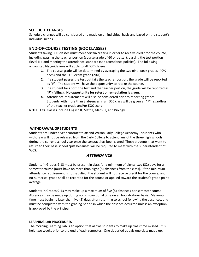#### **SCHEDULE CHANGES**

Schedule changes will be considered and made on an individual basis and based on the student's individual needs.

### **END-OF-COURSE TESTING (EOC CLASSES)**

Students taking EOC classes must meet certain criteria in order to receive credit for the course, including passing the teacher portion (course grade of 60 or better), passing the test portion (level III), and meeting the attendance standard (see attendance policies). The following accountability guidelines will apply to all EOC classes:

- **1.** The course grade will be determined by averaging the two nine-week grades (40% each) and the EOC exam grade (20%).
- **2.** If a student passes the test but fails the teacher portion, the grade will be reported as **"F".** The student will have the opportunity to retake the course.
- **3.** If a student fails both the test and the teacher portion, the grade will be reported as **"F" (failing). No opportunity for retest or remediation is given.**
- **4.** Attendance requirements will also be considered prior to reporting grades. Students with more than 8 absences in an EOC class will be given an "F" regardless of the teacher grade and/or EOC score.

**NOTE:** EOC classes include English II, Math I, Math III, and Biology

#### **WITHDRAWAL OF STUDENTS**

Students are under a year contract to attend Wilson Early College Academy. Students who withdraw will not be released from the Early College to attend any of the three high schools during the current school year once the contract has been signed. Those students that want to return to their base school "just because" will be required to meet with the superintendent of WCS.

### *ATTENDANCE*

Students in Grades 9-13 must be present in class for a minimum of eighty-two (82) days for a semester course (must have no more than eight (8) absences from the class). If the minimum attendance requirement is not satisfied, the student will not receive credit for the course, and no numerical grade shall be recorded for the course or applied toward the student's grade point average.

Students in Grades 9-13 may make up a maximum of five (5) absences per semester course. Absences may be made up during non-instructional time on an hour-to-hour basis. Make-up time must begin no later than five (5) days after returning to school following the absences, and must be completed with the grading period in which the absence occurred unless an exception is approved by the principal.

#### **LEARNING LAB PROCEDURES**

The morning Learning Lab is an option that allows students to make up class time missed. It is held two weeks prior to the end of each semester. One LL period equals one class made up.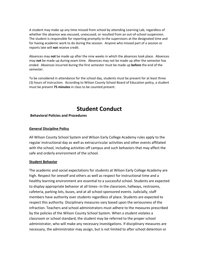A student may make up any time missed from school by attending Learning Lab, regardless of whether the absence was excused, unexcused, or resulted from an out-of-school suspension. The student is responsible for reporting promptly to the supervisors at the designated time and for having academic work to do during the session. Anyone who missed part of a session or reports late will **not** receive credit.

Absences may **not** be made up after the nine weeks in which the absences took place. Absences may **not** be made up during exam time. Absences may not be made up after the semester has ended. Absences incurred during the first semester must be made up **before** the end of the semester.

To be considered in attendance for the school day, students must be present for at least three (3) hours of instruction. According to Wilson County School Board of Education policy, a student must be present **75 minutes** in class to be counted present.

# **Student Conduct**

**Behavioral Policies and Procedures**

#### **General Discipline Policy**

All Wilson County School System and Wilson Early College Academy rules apply to the regular instructional day as well as extracurricular activities and other events affiliated with the school, including activities off campus and such behaviors that may affect the safe and orderly environment of the school.

#### **Student Behavior**

The academic and social expectations for students at Wilson Early College Academy are high. Respect for oneself and others as well as respect for instructional time and a healthy learning environment are essential to a successful school. Students are expected to display appropriate behavior at all times--in the classroom, hallways, restrooms, cafeteria, parking lots, buses, and at all school-sponsored events. Judicially, staff members have authority over students regardless of place. Students are expected to respect this authority. Disciplinary measures vary based upon the seriousness of the infraction. Teachers and school administrators must adhere to the measures prescribed by the policies of the Wilson County School System. When a student violates a classroom or school standard, the student may be referred to the proper school administrator, who will make any necessary investigations. If disciplinary measures are necessary, the administrator may assign, but is not limited to after school detention or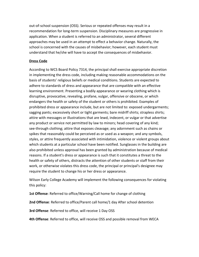out-of-school suspension (OSS). Serious or repeated offenses may result in a recommendation for long-term suspension. Disciplinary measures are progressive in application. When a student is referred to an administrator, several different approaches may be used in an attempt to effect a behavior change. Naturally, the school is concerned with the causes of misbehavior; however, each student must understand that he/she will have to accept the consequences of misbehavior.

#### **Dress Code**

According to WCS Board Policy 7314, the principal shall exercise appropriate discretion in implementing the dress code, including making reasonable accommodations on the basis of students' religious beliefs or medical conditions. Students are expected to adhere to standards of dress and appearance that are compatible with an effective learning environment. Presenting a bodily appearance or wearing clothing which is disruptive, provocative, revealing, profane, vulgar, offensive or obscene, or which endangers the health or safety of the student or others is prohibited. Examples of prohibited dress or appearance include, but are not limited to: exposed undergarments; sagging pants; excessively short or tight garments; bare midriff shirts; strapless shirts; attire with messages or illustrations that are lewd, indecent, or vulgar or that advertise any product or service not permitted by law to minors; head covering of any kind; see-through clothing; attire that exposes cleavage; any adornment such as chains or spikes that reasonably could be perceived as or used as a weapon; and any symbols, styles, or attire frequently associated with intimidation, violence or violent groups about which students at a particular school have been notified. Sunglasses in the building are also prohibited unless approval has been granted by administration because of medical reasons. If a student's dress or appearance is such that it constitutes a threat to the health or safety of others, distracts the attention of other students or staff from their work, or otherwise violates this dress code, the principal or principal's designee may require the student to change his or her dress or appearance.

Wilson Early College Academy will implement the following consequences for violating this policy:

**1st Offense**: Referred to office/Warning/Call home for change of clothing

**2nd Offense**: Referred to office/Parent call home/1 day After school detention

**3rd Offense**: Referred to office, will receive 1 Day OSS

**4th Offense**: Referred to office, will receive OSS and possible removal from WECA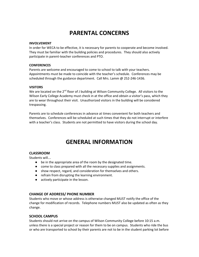# **PARENTAL CONCERNS**

#### **INVOLVEMENT**

In order for WECA to be effective, it is necessary for parents to cooperate and become involved. They must be familiar with the building policies and procedures. They should also actively participate in parent-teacher conferences and PTO.

#### **CONFERENCES**

Parents are welcome and encouraged to come to school to talk with your teachers. Appointments must be made to coincide with the teacher's schedule. Conferences may be scheduled through the guidance department. Call Mrs. Lamm @ 252-246-1436.

#### **VISITORS**

We are located on the  $2^{nd}$  floor of J building at Wilson Community College. All visitors to the Wilson Early College Academy must check in at the office and obtain a visitor's pass, which they are to wear throughout their visit. Unauthorized visitors in the building will be considered trespassing.

Parents are to schedule conferences in advance at times convenient for both teachers and themselves. Conferences will be scheduled at such times that they do not interrupt or interfere with a teacher's class. Students are not permitted to have visitors during the school day.

# **GENERAL INFORMATION**

#### **CLASSROOM**

Students will…

- be in the appropriate area of the room by the designated time.
- come to class prepared with all the necessary supplies and assignments.
- show respect, regard, and consideration for themselves and others.
- refrain from disrupting the learning environment.
- actively participate in the lesson.

#### **CHANGE OF ADDRESS/ PHONE NUMBER**

Students who move or whose address is otherwise changed MUST notify the office of the change for modification of records. Telephone numbers MUST also be updated as often as they change.

#### **SCHOOL CAMPUS**

Students should not arrive on the campus of Wilson Community College before 10:15 a.m. unless there is a special project or reason for them to be on campus. Students who ride the bus or who are transported to school by their parents are not to be in the student parking lot before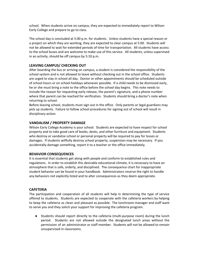school. When students arrive on campus, they are expected to immediately report to Wilson Early College and prepare to go to class.

The school day is concluded at 5:00 p.m. for students. Unless students have a special reason or a project on which they are working, they are expected to clear campus at 5:00. Students will not be allowed to wait for extended periods of time for transportation. All students have access to the school buses and are welcome to make use of this service. All students, unless supervised in an activity, should be off campus by 5:10 p.m.

### **LEAVING CAMPUS/ CHECKING OUT**

After boarding the bus or arriving on campus, a student is considered the responsibility of the school system and is not allowed to leave without checking out in the school office. Students are urged to stay in school all day. Doctor or other appointments should be scheduled outside of school hours or on school holidays whenever possible. If a child needs to be dismissed early, he or she must bring a note to the office before the school day begins. This note needs to include the reason for requesting early release, the parent's signature, and a phone number where that parent can be reached for verification. Students should bring a doctor's note when returning to school.

Before leaving school, students must sign out in the office. Only parents or legal guardians may pick up students. Failure to follow school procedures for signing out of school will result in disciplinary action.

#### **VANDALISM / PROPERTY DAMAGE**

Wilson Early College Academy is your school. Students are expected to have respect for school property and to take good care of books, desks, and other furniture and equipment. Students who destroy or vandalize school or personal property will be required to pay for losses or damages. If students willfully destroy school property, suspension may be necessary. If you accidentally damage something, report it to a teacher or the office immediately.

#### **BEHAVIOR CONSEQUENCES**

It is essential that students get along with people and conform to established rules and regulations. In order to establish this desirable educational climate, it is necessary to have an atmosphere that is safe, orderly, and disciplined. The consequence chart for inappropriate student behavior can be found in your handbook. Administrators reserve the right to handle any behaviors not explicitly listed and to alter consequences as they deem appropriate.

#### **CAFETERIA**

The participation and cooperation of all students will help in determining the type of service offered to students. Students are expected to cooperate with the cafeteria workers by helping to keep the cafeteria as clean and pleasant as possible. The lunchroom manager and staff want to serve you and they solicit your support for improving the cafeteria program.

● Students should report directly to the cafeteria (multi-purpose room) during the lunch period. Students are not allowed outside the designated lunch areas without the permission of an administrator or staff member. Students will not be allowed to remain unsupervised in classrooms.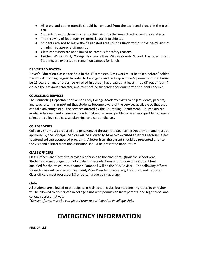- All trays and eating utensils should be removed from the table and placed in the trash can.
- Students may purchase lunches by the day or by the week directly from the cafeteria.
- The throwing of food, napkins, utensils, etc. is prohibited.
- Students are not to leave the designated areas during lunch without the permission of an administrator or staff member.
- Glass containers are not allowed on campus for safety reasons.
- Neither Wilson Early College, nor any other Wilson County School, has open lunch. Students are expected to remain on campus for lunch.

#### **DRIVER'S EDUCATION**

Driver's Education classes are held in the 1<sup>st</sup> semester. Class work must be taken before "behind the wheel" training begins. In order to be eligible and to keep a driver's permit a student must be 15 years of age or older, be enrolled in school, have passed at least three (3) out of four (4) classes the previous semester, and must not be suspended for enumerated student conduct.

#### **COUNSELING SERVICES**

The Counseling Department of Wilson Early College Academy exists to help students, parents, and teachers. It is important that students become aware of the services available so that they can take advantage of all the services offered by the Counseling Department. Counselors are available to assist and advise each student about personal problems, academic problems, course selection, college choices, scholarships, and career choices.

#### **COLLEGE VISITS**

College visits must be cleared and prearranged through the Counseling Department and must be approved by the principal. Seniors will be allowed to have two excused absences each semester to attend college-sponsored programs. A letter from the parent should be presented prior to the visit and a letter from the institution should be presented upon return.

#### **CLASS OFFICERS**

Class Officers are elected to provide leadership to the class throughout the school year. Students are encouraged to participate in these elections and to select the student best qualified for the office (Mrs. Shannon Campbell will be the SGA Advisor). The following officers for each class will be elected: President, Vice- President, Secretary, Treasurer, and Reporter. Class officers must possess a 2.8 or better grade point average.

#### **Clubs**

All students are allowed to participate in high school clubs, but students in grades 10 or higher will be allowed to participate in college clubs with permission from parents, and high school and college representatives.

*\*Consent forms must be completed prior to participation in college clubs.*

# **EMERGENCY INFORMATION**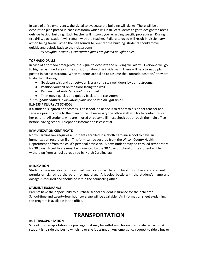In case of a fire emergency, the signal to evacuate the building will alarm. There will be an evacuation plan posted in each classroom which will instruct students to go to designated areas outside back of building. Each teacher will instruct you regarding specific procedures. During fire drills, each student will remain with the teacher. Failure to do so will result in disciplinary action being taken. When the bell sounds to re-enter the building, students should move quickly and quietly back to their classrooms.

*\*Throughout campus, evacuation plans are posted on light poles.*

#### **TORNADO DRILLS**

In case of a tornado emergency, the signal to evacuate the building will alarm. Everyone will go to his/her assigned area in the corridor or along the inside wall. There will be a tornado plan posted in each classroom. When students are asked to assume the "tornado position," they are to do the following:

- Go downstairs and get between Library and stairwell doors by our restrooms.
- Position yourself on the floor facing the wall.
- Remain quiet until "all clear" is sounded.
- Then move quickly and quietly back to the classroom.

*\*Throughout campus, evacuation plans are posted on light poles.*

#### **ILLNESS / INJURY AT SCHOOL**

If a student is injured or becomes ill at school, he or she is to report to his or her teacher and secure a pass to come to the main office. If necessary the office staff will try to contact his or her parent. All students who are injured or become ill must check out through the main office before leaving school. Telephone information is essential.

#### **IMMUNIZATION CERTIFICATE**

North Carolina law requires all students enrolled in a North Carolina school to have an immunization record on file. This form can be secured from the Wilson County Health Department or from the child's personal physician. A new student may be enrolled temporarily for 30 days. A certificate must be presented by the 30<sup>th</sup> day of school or the student will be withdrawn from school as required by North Carolina law.

#### **MEDICATION**

Students needing doctor prescribed medication while at school must have a statement of permission signed by the parent or guardian. A labeled bottle with the student's name and dosage is required and should be left in the counseling office.

#### **STUDENT INSURANCE**

Parents have the opportunity to purchase school accident insurance for their children. School-time and twenty-four hour coverage will be available. An information sheet explaining the program is available in the office.

# **TRANSPORTATION**

#### **BUS TRANSPORTATION**

School bus transportation is a privilege that may be withdrawn for inappropriate behavior. A student is to ride the bus to which he or she is assigned. Any emergency request to ride a bus or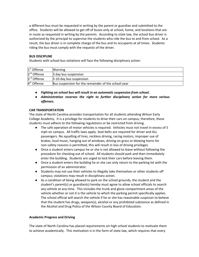a different bus must be requested in writing by the parent or guardian and submitted to the office. Students will be allowed to get off of buses only at school, home, and locations that are in route as requested in writing by the parents. According to state law, the school bus driver is authorized by the principal to supervise the students who ride the bus to and from school. As a result, the bus driver is in complete charge of the bus and its occupants at all times. Students riding the bus must comply with the requests of the driver.

#### **BUS DISCIPLINE**

Students with school bus violations will face the following disciplinary action:

| $1st$ Offense           | <b>Warning</b>                                      |
|-------------------------|-----------------------------------------------------|
| $2nd$ Offense           | 3 day bus suspension                                |
| 3 <sup>rd</sup> Offense | 5-10 day bus suspension                             |
| 4 <sup>th</sup> Offense | Bus suspension for the remainder of the school year |

- *Fighting on school bus will result in an automatic suspension from school.*
- *Administration reserves the right to further disciplinary action for more serious offenses.*

#### **CAR TRANSPORTATION**

The state of North Carolina provides transportation for all students attending Wilson Early College Academy. It is a privilege for students to drive their cars on campus; therefore, these students must adhere to the following regulations or be restricted from driving.

- The safe operation of motor vehicles is required. Vehicles must not travel in excess of 5 mph on campus. All traffic laws apply. Seat belts are required for driver and ALL passengers. No squalling of tires, reckless driving, racing motors, improper use of brakes, loud music, hanging out of windows, driving on grass or blowing horns for non-safety reasons is permitted, this will result in loss of driving privileges.
- Once a student enters campus he or she is not allowed to leave without following the procedure for checking out of school. All students should park and then immediately enter the building. Students are urged to lock their cars before leaving them.
- Once a student enters the building he or she can only return to the parking lot with the permission of an administrator.
- Students may not use their vehicles to illegally take themselves or other students off campus; violations may result in disciplinary action.
- As a condition of being allowed to park on the school grounds, the student and the student's parent(s) or guardian(s) hereby must agree to allow school officials to search any vehicle at any time. This includes the trunk and glove compartment areas of the vehicle whether or not it is the vehicle to which the parking permit specifically applies. The school official will search the vehicle if he or she has reasonable suspicion to believe that the student has drugs, weapon(s), alcohol or any prohibited substance as defined in the Alcohol and Drug Policy of the Wilson County Board of Education.

#### **Academic Progress and Driving**

The state of North Carolina has placed requirements on high school students to motivate them to achieve academically. This motivation is in the form of state law, which requires that every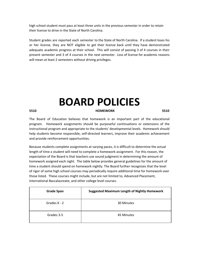high school student must pass at least three units in the previous semester in order to retain their license to drive in the State of North Carolina.

Student grades are reported each semester to the State of North Carolina. If a student loses his or her license, they are NOT eligible to get their license back until they have demonstrated adequate academic progress at their school. This will consist of passing 3 of 4 courses in their present semester and 3 of 4 courses in the next semester. Loss of license for academic reasons will mean at least 2 semesters without driving privileges.

# **BOARD POLICIES**

#### **5510 HOMEWORK 5510**

The Board of Education believes that homework is an important part of the educational program. Homework assignments should be purposeful continuations or extensions of the instructional program and appropriate to the students' developmental levels. Homework should help students become responsible, self-directed learners, improve their academic achievement and provide reinforcement opportunities.

Because students complete assignments at varying paces, it is difficult to determine the actual length of time a student will need to complete a homework assignment. For this reason, the expectation of the Board is that teachers use sound judgment in determining the amount of homework assigned each night. The table below provides general guidelines for the amount of time a student should spend on homework nightly. The Board further recognizes that the level of rigor of some high school courses may periodically require additional time for homework over those listed. These courses might include, but are not limited to, Advanced Placement, International Baccalaureate, and other college level courses.

| <b>Grade Span</b> | <b>Suggested Maximum Length of Nightly Homework</b> |  |
|-------------------|-----------------------------------------------------|--|
| Grades K - 2      | 30 Minutes                                          |  |
| Grades 3-5        | 45 Minutes                                          |  |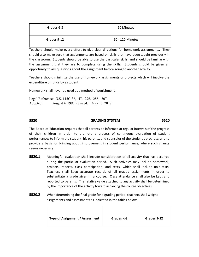| Grades 6-8  | 60 Minutes       |
|-------------|------------------|
| Grades 9-12 | 60 - 120 Minutes |

Teachers should make every effort to give clear directions for homework assignments. They should also make sure that assignments are based on skills that have been taught previously in the classroom. Students should be able to use the particular skills, and should be familiar with the assignment that they are to complete using the skills. Students should be given an opportunity to ask questions about the assignment before going to another activity.

Teachers should minimize the use of homework assignments or projects which will involve the expenditure of funds by a student.

Homework shall never be used as a method of punishment.

Legal Reference: G.S. 115C-36, -47, -276, -288, -307. Adopted: August 4, 1995 Revised: May 15, 2017

### **5520 GRADING SYSTEM 5520**

The Board of Education requires that all parents be informed at regular intervals of the progress of their children in order to promote a process of continuous evaluation of student performance; to inform the student, his parents, and counselor of the student's progress; and to provide a basis for bringing about improvement in student performance, where such change seems necessary.

- **5520.1** Meaningful evaluation shall include consideration of all activity that has occurred during the particular evaluation period. Such activities may include homework, projects, reports, class participation, and tests, which shall include unit tests. Teachers shall keep accurate records of all graded assignments in order to substantiate a grade given in a course. Class attendance shall also be kept and reported to parents. The relative value attached to any activity shall be determined by the importance of the activity toward achieving the course objectives.
- **5520.2** When determining the final grade for a grading period, teachers shall weight assignments and assessments as indicated in the tables below.

| Type of Assignment / Assessment | Grades K-8 | Grades 9-12 |
|---------------------------------|------------|-------------|
|---------------------------------|------------|-------------|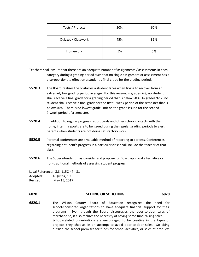| Tests / Projects    | 50% | 60% |
|---------------------|-----|-----|
| Quizzes / Classwork | 45% | 35% |
| Homework            | 5%  | 5%  |

Teachers shall ensure that there are an adequate number of assignments / assessments in each category during a grading period such that no single assignment or assessment has a disproportionate effect on a student's final grade for the grading period.

- **5520.3** The Board realizes the obstacles a student faces when trying to recover from an extremely low grading period average. For this reason, in grades K-8, no student shall receive a final grade for a grading period that is below 50%. In grades 9-12, no student shall receive a final grade for the first 9-week period of the semester that is below 40%. There is no lowest grade limit on the grade issued for the second 9-week period of a semester.
- **5520.4** In addition to regular progress report cards and other school contacts with the home, interim reports are to be issued during the regular grading periods to alert parents when students are not doing satisfactory work.
- **5520.5** Parental conferences are a valuable method of reporting to parents. Conferences regarding a student's progress in a particular class shall include the teacher of that class.
- **5520.6** The Superintendent may consider and propose for Board approval alternative or non-traditional methods of assessing student progress.

Legal Reference: G.S. 115C-47, -81 Adopted: August 4, 1995 Revised: May 15, 2017

#### **6820 SELLING OR SOLICITING 6820**

**6820.1** The Wilson County Board of Education recognizes the need for school-sponsored organizations to have adequate financial support for their programs. Even though the Board discourages the door-to-door sales of merchandise, it also realizes the necessity of having some fund-raising sales. School-related organizations are encouraged to be creative in the types of projects they choose, in an attempt to avoid door-to-door sales. Soliciting outside the school premises for funds for school activities, or sales of products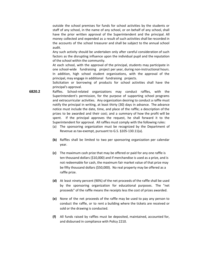outside the school premises for funds for school activities by the students or staff of any school, in the name of any school, or on behalf of any school, shall have the prior written approval of the Superintendent and the principal. All money collected and expended as a result of such activities shall be recorded in the accounts of the school treasurer and shall be subject to the annual school audit.

Any such activity should be undertaken only after careful consideration of such factors as the disrupting influence upon the individual pupil and the reputation of the school within the community.

At each school, with the approval of the principal, students may participate in one school-wide fundraising project per year, during non-instructional hours. In addition, high school student organizations, with the approval of the principal, may engage in additional fundraising projects.

Solicitation or borrowing of products for school activities shall have the principal's approval.

- **6820.2** Raffles. School-related organizations may conduct raffles, with the Superintendent's permission, for the purpose of supporting school programs and extracurricular activities. Any organization desiring to conduct a raffle must notify the principal in writing, at least thirty (30) days in advance. The advance notice must include the date, time, and place of the raffle; a description of the prizes to be awarded and their cost; and a summary of how the profit will be spent. If the principal approves the request, he shall forward it to the Superintendent for approval. All raffles must comply with the following rules:
	- (a) The sponsoring organization must be recognized by the Department of Revenue as tax-exempt, pursuant to G.S. §105-130.11(a).
	- **(b)** Raffles shall be limited to two per sponsoring organization per calendar year.
	- **(c)** The maximum cash prize that may be offered or paid for any one raffle is ten thousand dollars (\$10,000) and if merchandise is used as a prize, and is not redeemable for cash, the maximum fair market value of that prize may be fifty thousand dollars (\$50,000). No real property may be offered as a raffle prize.
	- **(d)** At least ninety percent (90%) of the net proceeds of the raffle shall be used by the sponsoring organization for educational purposes. The "net proceeds" of the raffle means the receipts less the cost of prizes awarded.
	- **(e)** None of the net proceeds of the raffle may be used to pay any person to conduct the raffle, or to rent a building where the tickets are received or sold or the drawing is conducted.
	- **(f)** All funds raised by raffles must be deposited, maintained, accounted for, and disbursed in compliance with Policy 2210.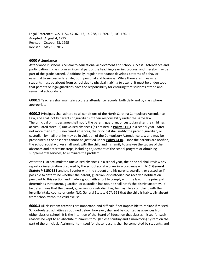Legal Reference: G.S. 115C-47 36, -47, 14-238, 14-309.15, 105-130.11 Adopted: August 4, 1995 Revised: October 23, 1995 Revised: May 15, 2017

#### **6000 Attendance**

Attendance in school is central to educational achievement and school success. Attendance and participation in class form an integral part of the teaching-learning process, and thereby may be part of the grade earned. Additionally, regular attendance develops patterns of behavior essential to success in later life, both personal and business. While there are times when students must be absent from school due to physical inability to attend, it must be understood that parents or legal guardians have the responsibility for ensuring that students attend and remain at school daily.

**6000.1** Teachers shall maintain accurate attendance records, both daily and by class where appropriate.

**6000.2** Principals shall adhere to all conditions of the North Carolina Compulsory Attendance Law, and shall notify parents or guardians of their responsibility under the same law. The principal or his designee shall notify the parent, guardian, or custodian after the child has accumulated three (3) unexcused absences (as defined in **[Policy](http://policy.microscribepub.com/cgi-bin/om_isapi.dll?clientID=208857783&headingswithhits=on&hitsperheading=on&infobase=wilson.nfo&jump=P6111&softpage=PL_frame#JUMPDEST_P6111) 6111**) in a school year. After not more than six (6) unexcused absences, the principal shall notify the parent, guardian, or custodian by mail that he may be in violation of the Compulsory Attendance Law and may be prosecuted if the absences cannot be justified under **[Policy](http://policy.microscribepub.com/cgi-bin/om_isapi.dll?clientID=208857783&headingswithhits=on&hitsperheading=on&infobase=wilson.nfo&jump=P6110&softpage=PL_frame#JUMPDEST_P6110) 6110**. Once the parents are notified, the school social worker shall work with the child and his family to analyze the causes of the absences and determine steps, including adjustment of the school program or obtaining supplemental services, to eliminate the problem.

After ten (10) accumulated unexcused absences in a school year, the principal shall review any report or investigation prepared by the school social worker in accordance with **N.C. [General](http://www.ncleg.net/EnactedLegislation/Statutes/HTML/BySection/Chapter_115C/GS_115C-381.html) Statute § [115C-381](http://www.ncleg.net/EnactedLegislation/Statutes/HTML/BySection/Chapter_115C/GS_115C-381.html)** and shall confer with the student and his parent, guardian, or custodian if possible to determine whether the parent, guardian, or custodian has received notification pursuant to this section and made a good faith effort to comply with the law. If the principal determines that parent, guardian, or custodian has not, he shall notify the district attorney. If he determines that the parent, guardian, or custodian has, he may file a complaint with the juvenile intake counselor under N.C. General Statute § 7A-561 that the child is habitually absent from school without a valid excuse.

**6000.3** All classroom activities are important, and difficult if not impossible to replace if missed. School-related activities as outlined below, however, shall not be counted as absences from either class or school. It is the intention of the Board of Education that classes missed for such reasons be kept to an absolute minimum through close scrutiny and a monitoring system on the part of the principal. Assignments missed for these reasons shall be completed by students, and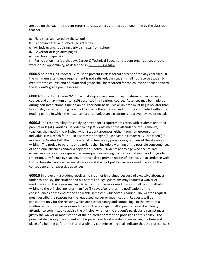are due on the day the student returns to class, unless granted additional time by the classroom teacher.

- **a.** Field trips sponsored by the school
- **b**. School-initiated and scheduled activities
- **c**. Athletic events requiring early dismissal from school
- **d.** Governor or legislative pages
- **e**. In-school suspension

**f**. Participation in a job-shadow, Career & Technical Education student organization, or other work-based opportunity, as described in G.S.115C-47(34a).

**6000.5** Students in Grades 9-12 must be present in class for 90 percent of the days enrolled. If the minimum attendance requirement is not satisfied, the student shall not receive academic credit for the course, and no numerical grade shall be recorded for the course or applied toward the student's grade point average.

**6000.6** Students in Grades 9-12 may make up a maximum of five (5) absences per semester course, and a maximum of ten (10) absences in a yearlong course. Absences may be made up during non-instructional time on an hour for hour basis. Make-up time must begin no later than five (5) days after returning to school following the absence, and must be completed within the grading period in which the absence occurred unless an exception is approved by the principal.

**6000.8** The responsibility for satisfying attendance requirements rests with students and their parents or legal guardians. In order to help students meet the attendance requirements, teachers shall notify the principal when student absences, either from homeroom or an individual class, reach four (4) in a semester or eight (8) in a year in Grades 9-12, or fifteen (15) in a year in Grades K-8. The principal shall in turn notify parents or guardians of the absences in writing. The notice to parents or guardians shall include a warning of the possible consequences of additional absences and/or a copy of this policy. Students at any age who accumulate excessive absences may experience consequences ranging from extra make-up work to grade retention. Any failure by teachers or principals to provide notice of absences in accordance with this section shall not excuse any absences and shall not justify waiver or modification of the consequences for excessive absences.

**6000.9** In the event a student receives no credit or is retained because of excessive absences under this policy, the student and his parents or legal guardians may request a waiver or modification of the consequences. A request for waiver or modification shall be submitted in writing to the principal no later than five (5) days after either the notification of the consequences or the end of the applicable semester, whichever is earlier. The written request must describe the reasons for the requested waiver or modification. Requests will be considered only for the reasons which are extraordinary and compelling. In the event of a written request for waiver or modification, the principal shall appoint an interdisciplinary attendance committee to advise the principal whether the student's particular circumstances justify the waiver or modification of the no-credit or retention provisions of this policy. The principal shall notify the student and his parents or legal guardians concerning the time and place of a hearing before the interdisciplinary committee and shall indicate that their presence is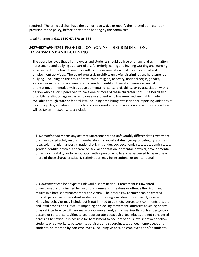required. The principal shall have the authority to waive or modify the no-credit or retention provision of the policy, before or after the hearing by the committee.

#### Legal Reference: **G.S. [115C-47](http://www.ncleg.net/EnactedLegislation/Statutes/HTML/BySection/Chapter_115C/GS_115C-47.html), 378 to [-383](http://www.ncga.state.nc.us/gascripts/statutes/StatutesTOC.pl?0115C)**

### **3037/4037/6904/8311 PROHIBITION AGAINST DISCRIMINATION, HARASSMENT AND BULLYING**

The board believes that all employees and students should be free of unlawful discrimination, harassment, and bullying as a part of a safe, orderly, caring and inviting working and learning environment. The board commits itself to nondiscrimination in all its educational and employment activities. The board expressly prohibits unlawful discrimination, harassment or bullying , including on the basis of race, color, religion, ancestry, national origin, gender, socioeconomic status, academic status, gender identity, physical appearance, sexual orientation, or mental, physical, developmental, or sensory disability, or by association with a person who has or is perceived to have one or more of these characteristics. The board also prohibits retaliation against an employee or student who has exercised any rights made available through state or federal law, including prohibiting retaliation for reporting violations of this policy. Any violation of this policy is considered a serious violation and appropriate action will be taken in response to a violation.

1. *Discrimination* means any act that unreasonably and unfavorably differentiates treatment of others based solely on their membership in a socially distinct group or category, such as race, color, religion, ancestry, national origin, gender, socioeconomic status, academic status, gender identity, physical appearance, sexual orientation, or mental, physical, developmental, or sensory disability, or by association with a person who has or is perceived to have one or more of these characteristics. Discrimination may be intentional or unintentional.

2. *Harassment* can be a type of unlawful discrimination. Harassment is unwanted, unwelcomed and uninvited behavior that demeans, threatens or offends the victim and results in a hostile environment for the victim. The hostile environment can be created through pervasive or persistent misbehavior or a single incident, if sufficiently severe. Harassing behavior may include but is not limited to epithets, derogatory comments or slurs and lewd propositions, assault, impeding or blocking movement, offensive touching or any physical interference with normal work or movement, and visual insults, such as derogatory posters or cartoons. Legitimate age-appropriate pedagogical techniques are not considered harassing behavior. It is possible for harassment to occur at various levels; between fellow students or co-workers, between supervisors and subordinates, between employees and students, or imposed by non-employees, including visitors, on employees and/or students.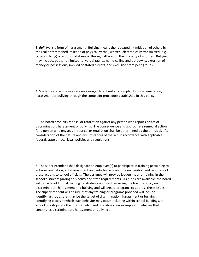3. *Bullying* is a form of harassment. Bullying means the repeated intimidation of others by the real or threatened infliction of physical, verbal, written, electronically transmitted (e.g. cyber-bullying) or emotional abuse or through attacks on the property of another. Bullying may include, but is not limited to, verbal taunts, name-calling and putdowns, extortion of money or possessions, implied or stated threats, and exclusion from peer groups.

4. Students and employees are encouraged to submit any complaints of discrimination, harassment or bullying through the complaint procedure established in this policy.

5. The board prohibits reprisal or retaliation against any person who reports an act of discrimination, harassment or bullying. The consequence and appropriate remedial action for a person who engages in reprisal or retaliation shall be determined by the principal, after consideration of the nature and circumstances of the act, in accordance with applicable federal, state or local laws, policies and regulations.

6. The superintendent shall designate an employee(s) to participate in training pertaining to anti-discrimination, anti-harassment and anti- bullying and the recognition and reporting of these actions to school officials. The designee will provide leadership and training in the school district regarding this policy and state requirements. As funds are available, the board will provide additional training for students and staff regarding the board's policy on discrimination, harassment and bullying and will create programs to address these issues. The superintendent will ensure that any training or programs provided will include identifying groups that may be the target of discrimination, harassment or bullying; identifying places at which such behavior may occur including within school buildings, at school bus stops, via the Internet, etc.; and providing clear examples of behavior that constitutes discrimination, harassment or bullying .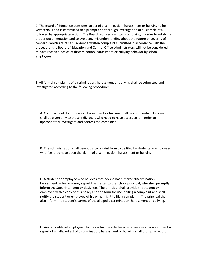7. The Board of Education considers an act of discrimination, harassment or bullying to be very serious and is committed to a prompt and thorough investigation of all complaints, followed by appropriate action. The Board requires a written complaint, in order to establish proper documentation and to avoid any misunderstanding about the nature or severity of concerns which are raised. Absent a written complaint submitted in accordance with the procedure, the Board of Education and Central Office administrators will not be considered to have received notice of discrimination, harassment or bullying behavior by school employees.

8. All formal complaints of discrimination, harassment or bullying shall be submitted and investigated according to the following procedure:

A. Complaints of discrimination, harassment or bullying shall be confidential. Information shall be given only to those individuals who need to have access to it in order to appropriately investigate and address the complaint.

B. The administration shall develop a complaint form to be filed by students or employees who feel they have been the victim of discrimination, harassment or bullying.

C. A student or employee who believes that he/she has suffered discrimination, harassment or bullying may report the matter to the school principal, who shall promptly inform the Superintendent or designee. The principal shall provide the student or employee with a copy of this policy and the form for use in filing a complaint and shall notify the student or employee of his or her right to file a complaint. The principal shall also inform the student's parent of the alleged discrimination, harassment or bullying.

D. Any school-level employee who has actual knowledge or who receives from a student a report of an alleged act of discrimination, harassment or bullying shall promptly report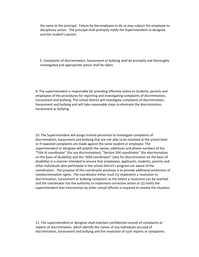the same to the principal. Failure by the employee to do so may subject the employee to disciplinary action. The principal shall promptly notify the Superintendent or designee and the student's parent.

E. Complaints of discrimination, harassment or bullying shall be promptly and thoroughly investigated and appropriate action shall be taken.

9. The superintendent is responsible for providing effective notice to students, parents and employees of the procedures for reporting and investigating complaints of discrimination, harassment and bullying. The school district will investigate complaints of discrimination, harassment and bullying and will take reasonable steps to eliminate the discrimination, harassment or bullying.

10. The Superintendent will assign trained personnel to investigate complaints of discrimination, harassment and bullying that are not able to be resolved at the school level or if repeated complaints are made against the same student or employee. The superintendent or designee will publish the names, addresses and phone numbers of the "Title IX coordinator" (for sex discrimination), "Section 504 coordinator" (for discrimination on the basis of disability) and the "ADA coordinator" (also for discrimination on the basis of disability) in a manner intended to ensure that employees, applicants, students, parents and other individuals who participate in the school district's program are aware of the coordinators. The purpose of the coordinator positions is to provide additional protection of nondiscrimination rights. The coordinator either must (1) implement a resolution to discrimination, harassment or bullying complaint, to the extent a resolution can be reached and the coordinator has the authority to implement corrective action or (2) notify the superintendent that intervention by other school officials is required to resolve the situation.

11. The superintendent or designee shall maintain confidential records of complaints or reports of discrimination, which identify the names of any individuals accused of discrimination, harassment and bullying and the resolution of such reports or complaints.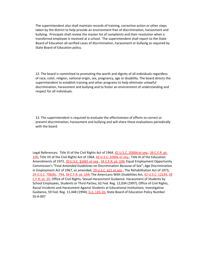The superintendent also shall maintain records of training, corrective action or other steps taken by the district to help provide an environment free of discrimination, harassment and bullying. Principals shall review the master list of complaints and their resolution when a transferred employee is received at a school. The superintendent shall report to the State Board of Education all verified cases of discrimination, harassment or bullying as required by State Board of Education policy.

12. The board is committed to promoting the worth and dignity of all individuals regardless of race, color, religion, national origin, sex, pregnancy, age or disability. The board directs the superintendent to establish training and other programs to help eliminate unlawful discrimination, harassment and bullying and to foster an environment of understanding and respect for all individuals.

13. The superintendent is required to evaluate the effectiveness of efforts to correct or prevent discrimination, harassment and bullying and will share these evaluations periodically with the board.

Legal References: Title VI of the Civil Rights Act of 1964, 42 U.S.C. [2000d](http://www4.law.cornell.edu/uscode/42/2000d.html) et seq., 34 [C.F.R.](http://www.access.gpo.gov/nara/cfr/cfr-table-search.html#page1) pt. [100](http://www.access.gpo.gov/nara/cfr/cfr-table-search.html#page1); Title VII of the Civil Rights Act of 1964, 42 U.S.C. [2000e](http://www4.law.cornell.edu/uscode/42/2000e.html) et seq.; Title IX of the Education Amendments of 1972, 20 U.S.C. [§1681](http://www4.law.cornell.edu/uscode/20/1681.html) et seq., 34 [C.F.R.](http://www.access.gpo.gov/nara/cfr/cfr-table-search.html#page1) pt. 106; Equal Employment Opportunity Commission's "Final Amended Guidelines on Discrimination Because of Sex"; Age Discrimination in Employment Act of 1967, as amended, 29 [U.S.C.](http://www4.law.cornell.edu/uscode/29/621.html) 621 et seq.; The Rehabilitation Act of 1973, 29 U.S.C. [706\(8\),](http://www4.law.cornell.edu/uscode/29/706.html) [-794](http://www4.law.cornell.edu/uscode/29/794.html), 34 [C.F.R.](http://www.access.gpo.gov/nara/cfr/cfr-table-search.html#page1) pt. 104; The Americans With Disabilities Act, 42 U.S.C. [12134](http://www4.law.cornell.edu/uscode/42/12134.html), [28](http://www.access.gpo.gov/nara/cfr/cfr-table-search.html#page1) [C.F.R.](http://www.access.gpo.gov/nara/cfr/cfr-table-search.html#page1) pt. 35; Office of Civil Rights, Sexual Harassment Guidance: Harassment of Students by School Employees, Students or Third Parties, 62 Fed. Reg. 12,034 (1997); Office of Civil Rights, Racial Incidents and Harassment Against Students at Educational Institutions; Investigative Guidance, 59 Fed. Reg. 11,448 (1994); G.S. [126-16;](http://www.ncleg.net/EnactedLegislation/Statutes/HTML/BySection/Chapter_126/GS_126-16.html) State Board of Education Policy Number SS-A-007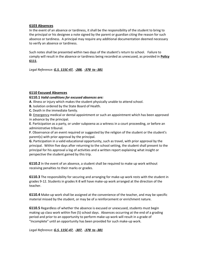#### **6103 Absences**

In the event of an absence or tardiness, it shall be the responsibility of the student to bring to the principal or his designee a note signed by the parent or guardian citing the reason for such absence or tardiness. A principal may require any additional documentation deemed necessary to verify an absence or tardiness.

Such notes shall be presented within two days of the student's return to school. Failure to comply will result in the absence or tardiness being recorded as unexcused, as provided in **[Policy](http://policy.microscribepub.com/cgi-bin/om_isapi.dll?clientID=208857783&headingswithhits=on&hitsperheading=on&infobase=wilson.nfo&jump=P6111&softpage=PL_frame#JUMPDEST_P6111) [6111](http://policy.microscribepub.com/cgi-bin/om_isapi.dll?clientID=208857783&headingswithhits=on&hitsperheading=on&infobase=wilson.nfo&jump=P6111&softpage=PL_frame#JUMPDEST_P6111)**.

*Legal Reference: G.S. [115C-47,](http://www.ncleg.net/EnactedLegislation/Statutes/HTML/BySection/Chapter_115C/GS_115C-47.html) [-288](http://www.ncleg.net/EnactedLegislation/Statutes/HTML/BySection/Chapter_115C/GS_115C-288.html), [-378](http://www.ncga.state.nc.us/gascripts/statutes/StatutesTOC.pl?0115C) to -381*

#### **6110 Excused Absences**

#### **6110.1** *Valid conditions for excused absences are:*

**A**. Illness or injury which makes the student physically unable to attend school.

**B.** Isolation ordered by the State Board of Health.

**C.** Death in the immediate family.

**D**. Emergency medical or dental appointment or such an appointment which has been approved in advance by the principal.

**E**. Participation as a party, or under subpoena as a witness in a court proceeding, or before an administrative tribunal.

**F**. Observance of an event required or suggested by the religion of the student or the student's parent(s) with prior approval by the principal.

**G.** Participation in a valid educational opportunity, such as travel, with prior approval by the principal. Within five days after returning to the school setting, the student shall present to the principal for his approval a log of activities and a written report explaining what insight or perspective the student gained by this trip.

**6110.2** In the event of an absence, a student shall be required to make up work without receiving penalties to their marks or grades.

**6110.3** The responsibility for securing and arranging for make-up work rests with the student in grades 9-12. Students in grades K-8 will have make-up work arranged at the direction of the teacher.

**6110.4** Make-up work shall be assigned at the convenience of the teacher, and may be specific material missed by the student, or may be of a reinforcement or enrichment nature.

**6110.5** Regardless of whether the absence is excused or unexcused, students must begin making up class work within five (5) school days. Absences occurring at the end of a grading period and prior to an opportunity to perform make-up work will result in a grade of "Incomplete" until an opportunity has been provided for such make-up work.

*Legal Reference: G.S. [115C-47,](http://www.ncleg.net/EnactedLegislation/Statutes/HTML/BySection/Chapter_115C/GS_115C-47.html) [-307](http://www.ncleg.net/EnactedLegislation/Statutes/HTML/BySection/Chapter_115C/GS_115C-307.html), [-378](http://www.ncga.state.nc.us/gascripts/statutes/StatutesTOC.pl?0115C) to -381*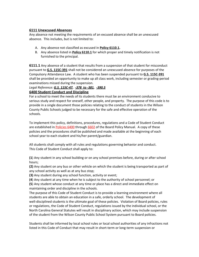### **6111 Unexcused Absences**

Any absence not meeting the requirements of an excused absence shall be an unexcused absence. This includes, but is not limited to:

- A. Any absence not classified as excused in **Policy [6110.1.](http://policy.microscribepub.com/cgi-bin/om_isapi.dll?clientID=208857783&headingswithhits=on&hitsperheading=on&infobase=wilson.nfo&jump=P6110.1&softpage=PL_frame#JUMPDEST_P6110.1)**
- B. Any absence listed in **Policy [6110.1](http://policy.microscribepub.com/cgi-bin/om_isapi.dll?clientID=208857783&headingswithhits=on&hitsperheading=on&infobase=wilson.nfo&jump=P6110.1&softpage=PL_frame#JUMPDEST_P6110.1)** for which proper and timely notification is not furnished to the principal.

**6111.1** Any absence of a student that results from a suspension of that student for misconduct pursuant to **G.S. [115C-391](http://www.ncleg.net/EnactedLegislation/Statutes/HTML/BySection/Chapter_115C/GS_115C-391.html)** shall not be considered an unexcused absence for purposes of the Compulsory Attendance Law. A student who has been suspended pursuant to **G.S. [115C-391](http://www.ncleg.net/EnactedLegislation/Statutes/HTML/BySection/Chapter_115C/GS_115C-391.html)** shall be provided an opportunity to make up all class work, including semester or grading-period examinations missed during the suspension.

#### *Legal Reference: G.S. [115C-47,](http://www.ncleg.net/EnactedLegislation/Statutes/HTML/BySection/Chapter_115C/GS_115C-47.html) [-378](http://www.ncga.state.nc.us/gascripts/statutes/StatutesTOC.pl?0115C) to -381, -390.5* **6400 Student Conduct and Discipline**

For a school to meet the needs of its students there must be an environment conducive to serious study and respect for oneself, other people, and property. The purpose of this code is to provide in a single document those policies relating to the conduct of students in the Wilson County Public Schools judged to be necessary for the safe and effective operation of the schools.

To implement this policy, definitions, procedures, regulations and a Code of Student Conduct are established in [Policies](http://policy.microscribepub.com/cgi-bin/om_isapi.dll?clientID=208858774&headingswithhits=on&hitsperheading=on&infobase=wilson.nfo&jump=P6400&softpage=PL_frame#JUMPDEST_P6400) 6400 through [6602](http://policy.microscribepub.com/cgi-bin/om_isapi.dll?clientID=208858774&headingswithhits=on&hitsperheading=on&infobase=wilson.nfo&jump=P6602&softpage=PL_frame#JUMPDEST_P6602) of the Board Policy Manual. A copy of these policies and the procedures shall be published and made available at the beginning of each school year to each student and his/her parent/guardian.

All students shall comply with all rules and regulations governing behavior and conduct. This Code of Student Conduct shall apply to:

**(1**) Any student in any school building or on any school premises before, during or after school hours;

**(2)** Any student on any bus or other vehicle on which the student is being transported as part of any school activity as well as at any bus stop;

**(3)** Any student during any school function, activity or event;

**(4**) Any student at any time when he is subject to the authority of school personnel; or

**(5**) Any student whose conduct at any time or place has a direct and immediate effect on maintaining order and discipline in the schools.

The purpose of this Code of Student Conduct is to provide a learning environment where all students are able to obtain an education in a safe, orderly school. The development of well-disciplined students is the ultimate goal of these policies. Violation of Board policies, rules or regulations, the Code of Student Conduct, regulations issued by the individual school, or the North Carolina General Statutes will result in disciplinary action, which may include suspension of the student from the Wilson County Public School System pursuant to Board policies.

Students shall be informed by local school rules or local school authorities of any infractions not listed in this Code of Conduct that may result in short-term or long-term suspension or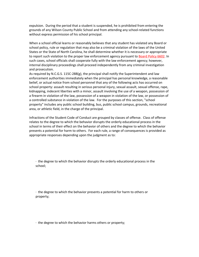expulsion. During the period that a student is suspended, he is prohibited from entering the grounds of any Wilson County Public School and from attending any school-related functions without express permission of his school principal.

When a school official learns or reasonably believes that any student has violated any Board or school policy, rule or regulation that may also be a criminal violation of the laws of the United States or the State of North Carolina, he shall determine whether it is necessary or appropriate to report such violation to the proper law enforcement agency pursuant to [Board](http://policy.microscribepub.com/cgi-bin/om_isapi.dll?clientID=208858774&headingswithhits=on&hitsperheading=on&infobase=wilson.nfo&jump=P6602&softpage=PL_frame#JUMPDEST_P6602) Policy 6602. In such cases, school officials shall cooperate fully with the law enforcement agency; however, internal disciplinary proceedings shall proceed independently from any criminal investigation and prosecution.

As required by N.C.G.S. 115C-288(g), the principal shall notify the Superintendent and law enforcement authorities immediately when the principal has personal knowledge, a reasonable belief, or actual notice from school personnel that any of the following acts has occurred on school property: assault resulting in serious personal injury, sexual assault, sexual offense, rape, kidnapping, indecent liberties with a minor, assault involving the use of a weapon, possession of a firearm in violation of the law, possession of a weapon in violation of the law, or possession of a controlled substance in violation of the law. For the purposes of this section, "school property" includes any public school building, bus, public school campus, grounds, recreational area, or athletic field, in the charge of the principal.

Infractions of the Student Code of Conduct are grouped by classes of offense. Class of offense relates to the degree to which the behavior disrupts the orderly educational process in the school in terms of their effect on the behavior of others and the degree to which the behavior presents a potential for harm to others. For each rule, a range of consequences is provided as appropriate responses depending upon the judgment as to:

· the degree to which the behavior disrupts the orderly educational process in the school;

· the degree to which the behavior presents a potential for harm to others or property;

· the degree to which the behavior harms others or property;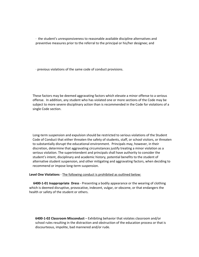· the student's unresponsiveness to reasonable available discipline alternatives and preventive measures prior to the referral to the principal or his/her designee; and

· previous violations of the same code of conduct provisions.

These factors may be deemed aggravating factors which elevate a minor offense to a serious offense. In addition, any student who has violated one or more sections of the Code may be subject to more severe disciplinary action than is recommended in the Code for violations of a single Code section.

Long-term suspension and expulsion should be restricted to serious violations of the Student Code of Conduct that either threaten the safety of students, staff, or school visitors, or threaten to substantially disrupt the educational environment. Principals may, however, in their discretion, determine that aggravating circumstances justify treating a minor violation as a serious violation. The superintendent and principals shall have authority to consider the student's intent, disciplinary and academic history, potential benefits to the student of alternative student suspension, and other mitigating and aggravating factors, when deciding to recommend or impose long-term suspension.

**Level One Violations** - The following conduct is prohibited as outlined below:

**6400-1-01 Inappropriate Dress** - Presenting a bodily appearance or the wearing of clothing which is deemed disruptive, provocative, indecent, vulgar, or obscene, or that endangers the health or safety of the student or others.

**6400-1-02 Classroom Misconduct** – Exhibiting behavior that violates classroom and/or school rules resulting in the distraction and obstruction of the education process or that is discourteous, impolite, bad mannered and/or rude.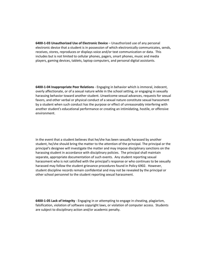**6400-1-03 Unauthorized Use of Electronic Device** – Unauthorized use of any personal electronic device that a student is in possession of which electronically communicates, sends, receives, stores, reproduces or displays voice and/or text communication or data. This includes but is not limited to cellular phones, pagers, smart phones, music and media players, gaming devices, tablets, laptop computers, and personal digital assistants.

**6400-1-04 Inappropriate Peer Relations** - Engaging in behavior which is immoral, indecent, overly affectionate, or of a sexual nature while in the school setting, or engaging in sexually harassing behavior toward another student. Unwelcome sexual advances, requests for sexual favors, and other verbal or physical conduct of a sexual nature constitute sexual harassment by a student when such conduct has the purpose or effect of unreasonably interfering with another student's educational performance or creating an intimidating, hostile, or offensive environment.

In the event that a student believes that he/she has been sexually harassed by another student, he/she should bring the matter to the attention of the principal. The principal or the principal's designee will investigate the matter and may impose disciplinary sanctions on the harassing student in accordance with disciplinary policies. The principal shall maintain separate, appropriate documentation of such events. Any student reporting sexual harassment who is not satisfied with the principal's response or who continues to be sexually harassed may follow the student grievance procedures found in Policy 6902. However, student discipline records remain confidential and may not be revealed by the principal or other school personnel to the student reporting sexual harassment.

**6400-1-05 Lack of Integrity** - Engaging in or attempting to engage in cheating, plagiarism, falsification, violation of software copyright laws, or violation of computer access. Students are subject to disciplinary action and/or academic penalty.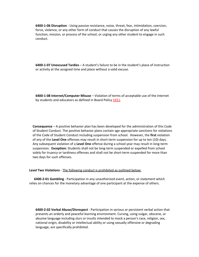**6400-1-06 Disruption** - Using passive resistance, noise, threat, fear, intimidation, coercion, force, violence, or any other form of conduct that causes the disruption of any lawful function, mission, or process of the school, or urging any other student to engage in such conduct.

**6400-1-07 Unexcused Tardies** – A student's failure to be in the student's place of instruction or activity at the assigned time and place without a valid excuse.

**6400-1-08 Internet/Computer Misuse** – Violation of terms of acceptable use of the internet by students and educators as defined in Board Policy [5451.](http://policy.microscribepub.com/cgi-bin/om_isapi.dll?clientID=1508459093&infobase=wilson.nfo&jump=P5451&softpage=Document42#JUMPDEST_P5451)

**Consequence** – A positive behavior plan has been developed for the administration of this Code of Student Conduct. The positive behavior plans contain age appropriate sanctions for violations of the Code of Student Conduct including suspension from school. However, the **first** violation of any of the **Level One** offenses may result in short-term suspension for up to ten (10) days. Any subsequent violation of a **Level One** offense during a school year may result in long-term suspension. **Exception:** Students shall not be long-term suspended or expelled from school solely for truancy or tardiness offenses and shall not be short-term suspended for more than two days for such offenses.

**Level Two Violations** - The following conduct is prohibited as outlined below:

**6400-2-01 Gambling** - Participation in any unauthorized event, action, or statement which relies on chances for the monetary advantage of one participant at the expense of others.

**6400-2-02 Verbal Abuse/Disrespect** - Participation in serious or persistent verbal action that prevents an orderly and peaceful learning environment. Cursing, using vulgar, obscene, or abusive language including slurs or insults intended to mock a person's race, religion, sex, national origin, disability or intellectual ability or using sexually offensive or degrading language, are specifically prohibited.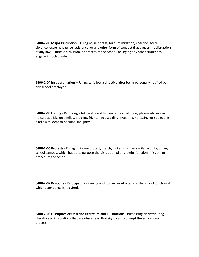**6400-2-03 Major Disruption** – Using noise, threat, fear, intimidation, coercion, force, violence, extreme passive resistance, or any other form of conduct that causes the disruption of any lawful function, mission, or process of the school, or urging any other student to engage in such conduct.

**6400-2-04 Insubordination** – Failing to follow a directive after being personally notified by any school employee.

**6400-2-05 Hazing** - Requiring a fellow student to wear abnormal dress, playing abusive or ridiculous tricks on a fellow student, frightening, scolding, swearing, harassing, or subjecting a fellow student to personal indignity.

**6400-2-06 Protests** - Engaging in any protest, march, picket, sit-in, or similar activity, on any school campus, which has as its purpose the disruption of any lawful function, mission, or process of the school.

**6400-2-07 Boycotts** - Participating in any boycott or walk-out of any lawful school function at which attendance is required.

**6400-2-08 Disruptive or Obscene Literature and Illustrations** - Possessing or distributing literature or illustrations that are obscene or that significantly disrupt the educational process.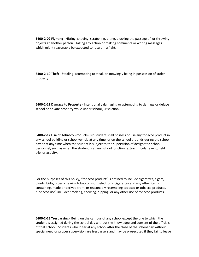**6400-2-09 Fighting** - Hitting, shoving, scratching, biting, blocking the passage of, or throwing objects at another person. Taking any action or making comments or writing messages which might reasonably be expected to result in a fight.

**6400-2-10 Theft** - Stealing, attempting to steal, or knowingly being in possession of stolen property.

**6400-2-11 Damage to Property** - Intentionally damaging or attempting to damage or deface school or private property while under school jurisdiction.

**6400-2-12 Use of Tobacco Products** - No student shall possess or use any tobacco product in any school building or school vehicle at any time, or on the school grounds during the school day or at any time when the student is subject to the supervision of designated school personnel, such as when the student is at any school function, extracurricular event, field trip, or activity.

For the purposes of this policy, "tobacco product" is defined to include cigarettes, cigars, blunts, bidis, pipes, chewing tobacco, snuff, electronic cigarettes and any other items containing, made or derived from, or reasonably resembling tobacco or tobacco products. "Tobacco use" includes smoking, chewing, dipping, or any other use of tobacco products.

**6400-2-13 Trespassing** - Being on the campus of any school except the one to which the student is assigned during the school day without the knowledge and consent of the officials of that school. Students who loiter at any school after the close of the school day without special need or proper supervision are trespassers and may be prosecuted if they fail to leave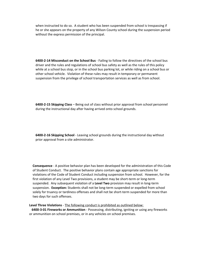when instructed to do so. A student who has been suspended from school is trespassing if he or she appears on the property of any Wilson County school during the suspension period without the express permission of the principal.

**6400-2-14 Misconduct on the School Bus** - Failing to follow the directives of the school bus driver and the rules and regulations of school bus safety as well as the rules of this policy while at a school bus stop, or in the school bus parking lot, or while riding on a school bus or other school vehicle. Violation of these rules may result in temporary or permanent suspension from the privilege of school transportation services as well as from school.

**6400-2-15 Skipping Class** – Being out of class without prior approval from school personnel during the instructional day after having arrived onto school grounds.

**6400-2-16 Skipping School** - Leaving school grounds during the instructional day without prior approval from a site administrator.

**Consequence** - A positive behavior plan has been developed for the administration of this Code of Student Conduct. The positive behavior plans contain age appropriate sanctions for violations of the Code of Student Conduct including suspension from school. However, for the first violation of any Level Two provisions, a student may be short-term or long-term suspended. Any subsequent violation of a **Level Two** provision may result in long-term suspension. **Exception:** Students shall not be long-term suspended or expelled from school solely for truancy or tardiness offenses and shall not be short-term suspended for more than two days for such offenses.

**Level Three Violations** - The following conduct is prohibited as outlined below:

**6400-3-01 Fireworks or Ammunition** - Possessing, distributing, igniting or using any fireworks or ammunition on school premises, or in any vehicles on school premises.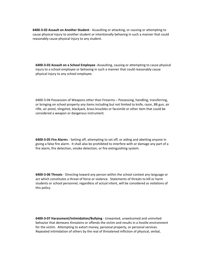**6400-3-02 Assault on Another Student** - Assaulting or attacking, or causing or attempting to cause physical injury to another student or intentionally behaving in such a manner that could reasonably cause physical injury to any student.

**6400-3-03 Assault on a School Employee** -Assaulting, causing or attempting to cause physical injury to a school employee or behaving in such a manner that could reasonably cause physical injury to any school employee.

6400-3-04 Possession of Weapons other than Firearms – Possessing, handling, transferring, or bringing on school property any items including but not limited to knife, razor, BB gun, air rifle, air pistol, slingshot, blackjack, brass knuckles or facsimile or other item that could be considered a weapon or dangerous instrument.

**6400-3-05 Fire Alarm**s - Setting off, attempting to set off, or aiding and abetting anyone in giving a false fire alarm. It shall also be prohibited to interfere with or damage any part of a fire alarm, fire detection, smoke detection, or fire extinguishing system.

**6400-3-06 Threats** - Directing toward any person within the school context any language or act which constitutes a threat of force or violence. Statements of threats to kill or harm students or school personnel, regardless of actual intent, will be considered as violations of this policy.

**6400-3-07 Harassment/Intimidation/Bullying** - Unwanted, unwelcomed and uninvited behavior that demeans threatens or offends the victim and results in a hostile environment for the victim. Attempting to extort money, personal property, or personal services. Repeated intimidation of others by the real of threatened infliction of physical, verbal,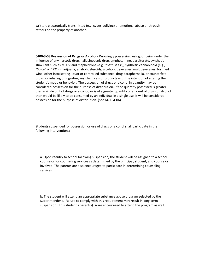written, electronically transmitted (e.g. cyber-bullying) or emotional abuse or through attacks on the property of another.

**6400-3-08 Possession of Drugs or Alcohol** - Knowingly possessing, using, or being under the influence of any narcotic drug, hallucinogenic drug, amphetamine, barbiturate, synthetic stimulant such as MDPV and mephedrone (e.g., "bath salts"), synthetic cannabinoid (e.g., "Spice" or "K2"), marijuana, anabolic steroids, alcoholic beverages, malt beverages, fortified wine, other intoxicating liquor or controlled substance, drug paraphernalia, or counterfeit drugs, or inhaling or ingesting any chemicals or products with the intention of altering the student's mood or behavior. The possession of drugs or alcohol in quantity may be considered possession for the purpose of distribution. If the quantity possessed is greater than a single unit of drugs or alcohol, or is of a greater quantity or amount of drugs or alcohol than would be likely to be consumed by an individual in a single use, it will be considered possession for the purpose of distribution. (See 6400-4-06)

Students suspended for possession or use of drugs or alcohol shall participate in the following interventions:

a. Upon reentry to school following suspension, the student will be assigned to a school counselor for counseling services as determined by the principal, student, and counselor involved. The parents are also encouraged to participate in determining counseling services.

b. The student will attend an appropriate substance abuse program selected by the Superintendent. Failure to comply with this requirement may result in long-term suspension. This student's parent(s) is/are encouraged to attend the program as well.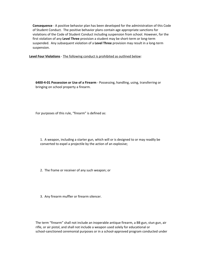**Consequence** - A positive behavior plan has been developed for the administration of this Code of Student Conduct. The positive behavior plans contain age appropriate sanctions for violations of the Code of Student Conduct including suspension from school. However, for the first violation of any **Level Three** provision a student may be short-term or long-term suspended. Any subsequent violation of a **Level Three** provision may result in a long-term suspension.

**Level Four Violations** - The following conduct is prohibited as outlined below:

**6400-4-01 Possession or Use of a Firearm** - Possessing, handling, using, transferring or bringing on school property a firearm.

For purposes of this rule, "firearm" is defined as:

1. A weapon, including a starter gun, which will or is designed to or may readily be converted to expel a projectile by the action of an explosive;

2. The frame or receiver of any such weapon; or

3. Any firearm muffler or firearm silencer.

The term "firearm" shall not include an inoperable antique firearm, a BB gun, stun gun, air rifle, or air pistol, and shall not include a weapon used solely for educational or school-sanctioned ceremonial purposes or in a school-approved program conducted under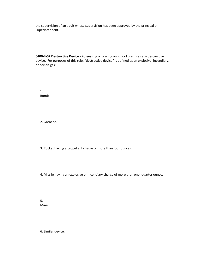the supervision of an adult whose supervision has been approved by the principal or Superintendent.

**6400-4-02 Destructive Device** - Possessing or placing on school premises any destructive device. For purposes of this rule, "destructive device" is defined as an explosive, incendiary, or poison gas:

1. Bomb.

2. Grenade.

3. Rocket having a propellant charge of more than four ounces.

4. Missile having an explosive or incendiary charge of more than one- quarter ounce.

5. Mine.

6. Similar device.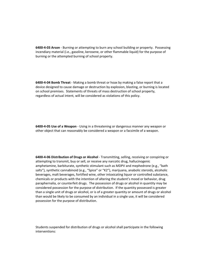**6400-4-03 Arson** - Burning or attempting to burn any school building or property. Possessing incendiary material (i.e., gasoline, kerosene, or other flammable liquid) for the purpose of burning or the attempted burning of school property.

**6400-4-04 Bomb Threat** - Making a bomb threat or hoax by making a false report that a device designed to cause damage or destruction by explosion, blasting, or burning is located on school premises. Statements of threats of mass destruction of school property, regardless of actual intent, will be considered as violations of this policy.

**6400-4-05 Use of a Weapon** - Using in a threatening or dangerous manner any weapon or other object that can reasonably be considered a weapon or a facsimile of a weapon.

**6400-4-06 Distribution of Drugs or Alcohol** - Transmitting, selling, receiving or conspiring or attempting to transmit, buy or sell, or receive any narcotic drug, hallucinogenic amphetamine, barbiturate, synthetic stimulant such as MDPV and mephedrone (e.g., "bath salts"), synthetic cannabinoid (e.g., "Spice" or "K2"), marijuana, anabolic steroids, alcoholic beverages, malt beverages, fortified wine, other intoxicating liquor or controlled substance, chemicals or products with the intention of altering the student's mood or behavior, drug paraphernalia, or counterfeit drugs. The possession of drugs or alcohol in quantity may be considered possession for the purpose of distribution. If the quantity possessed is greater than a single unit of drugs or alcohol, or is of a greater quantity or amount of drugs or alcohol than would be likely to be consumed by an individual in a single use, it will be considered possession for the purpose of distribution.

Students suspended for distribution of drugs or alcohol shall participate in the following interventions: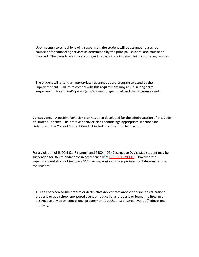Upon reentry to school following suspension, the student will be assigned to a school counselor for counseling services as determined by the principal, student, and counselor involved. The parents are also encouraged to participate in determining counseling services.

The student will attend an appropriate substance abuse program selected by the Superintendent. Failure to comply with this requirement may result in long-term suspension. This student's parent(s) is/are encouraged to attend the program as well.

**Consequence** - A positive behavior plan has been developed for the administration of this Code of Student Conduct. The positive behavior plans contain age appropriate sanctions for violations of the Code of Student Conduct including suspension from school.

For a violation of 6400-4-01 (Firearms) and 6400-4-02 (Destructive Devices), a student may be suspended for 365 calendar days in accordance with G.S. [115C-390.10](http://www.ncleg.net/EnactedLegislation/Statutes/HTML/BySection/Chapter_115C/GS_115C-390.10.html). However, the superintendent shall not impose a 365-day suspension if the superintendent determines that the student:

1. Took or received the firearm or destructive device from another person on educational property or at a school-sponsored event off educational property or found the firearm or destructive device on educational property or at a school-sponsored event off educational property;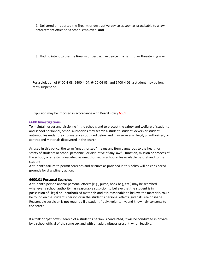2. Delivered or reported the firearm or destructive device as soon as practicable to a law enforcement officer or a school employee; **and**

3. Had no intent to use the firearm or destructive device in a harmful or threatening way.

For a violation of 6400-4-03, 6400-4-04, 6400-04-05, and 6400-4-06, a student may be longterm suspended.

Expulsion may be imposed in accordance with Board Policy [6509](http://policy.microscribepub.com/cgi-bin/om_isapi.dll?clientID=1508459093&infobase=wilson.nfo&jump=P6509&softpage=Document42#JUMPDEST_P6509)

#### **6600 Investigations**

To maintain order and discipline in the schools and to protect the safety and welfare of students and school personnel, school authorities may search a student, student lockers or student automobiles under the circumstances outlined below and may seize any illegal, unauthorized, or contraband materials discovered in the search

As used in this policy, the term "unauthorized" means any item dangerous to the health or safety of students or school personnel, or disruptive of any lawful function, mission or process of the school, or any item described as unauthorized in school rules available beforehand to the student.

A student's failure to permit searches and seizures as provided in this policy will be considered grounds for disciplinary action.

#### **6600.01 Personal Searches**

A student's person and/or personal effects (e.g., purse, book bag, etc.) may be searched whenever a school authority has reasonable suspicion to believe that the student is in possession of illegal or unauthorized materials and it is reasonable to believe the materials could be found on the student's person or in the student's personal effects, given its size or shape. Reasonable suspicion is not required if a student freely, voluntarily, and knowingly consents to the search.

If a frisk or "pat down" search of a student's person is conducted, it will be conducted in private by a school official of the same sex and with an adult witness present, when feasible.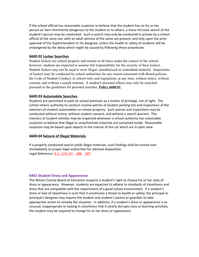If the school official has reasonable suspicion to believe that the student has on his or her person an item imminently dangerous to the student or to others, a more intrusive search of the student's person may be conducted. Such a search may only be conducted in private by a school official of the same sex, with an adult witness of the same sex present, and only upon the prior approval of the Superintendent or his designee, unless the health or safety of students will be endangered by the delay which might be caused by following these procedures.

#### **6600.02 Locker Searches**

Student lockers are school property and remain at all times under the control of the school; however, students are expected to assume full responsibility for the security of their lockers. Student lockers may not be used to store illegal, unauthorized or contraband material. Inspections of lockers may be conducted by school authorities for any reason consistent with Board policies, the Code of Student Conduct, or school rules and regulations, at any time, without notice, without consent, and without a search warrant. A student's personal effects may only be searched pursuant to the guidelines for personal searches, **Policy [6600.01](http://policy.microscribepub.com/cgi-bin/om_isapi.dll?clientID=379263553&headingswithhits=on&hitsperheading=on&infobase=wilson.nfo&jump=P6600.01&softpage=PL_frame#JUMPDEST_P6600.01)**.

#### **6600.03 Automobile Searches**

Students are permitted to park on school premises as a matter of privilege, not of right. The school retains authority to conduct routine patrols of student parking lots and inspections of the exteriors of student automobiles on school property. Such patrols and inspections may be conducted without notice, without student consent, and without a search warrant. The interiors of student vehicles may be inspected whenever a school authority has reasonable suspicion to believe that illegal or unauthorized materials are contained inside. Reasonable suspicion may be based upon objects in the interior of the car which are in plain view.

#### **6600.04 Seizure of Illegal Materials**

If a properly conducted search yields illegal materials, such findings shall be turned over immediately to proper legal authorities for ultimate disposition. Legal Reference: G.S. [115C-47,](http://www.ncleg.net/EnactedLegislation/Statutes/HTML/BySection/Chapter_115C/GS_115C-47.html) [-288](http://www.ncleg.net/EnactedLegislation/Statutes/HTML/BySection/Chapter_115C/GS_115C-288.html), [-307](http://www.ncleg.net/EnactedLegislation/Statutes/HTML/BySection/Chapter_115C/GS_115C-307.html)

#### **6401 Student Dress and Appearance**

The Wilson County Board of Education respects a student's right to choose his or her style of dress or appearance. However, students are expected to adhere to standards of cleanliness and dress that are compatible with the requirement of a good school environment. If a student's dress or lack of cleanliness is such that it constitutes a threat to health or safety, the principal or principal's designee may require the student and student's parent or guardian to take appropriate action to remedy the situation. In addition, if a student's dress or appearance is so unusual, inappropriate or lacking in cleanliness that it clearly disrupts class or learning activities, the student may be required to change his or her dress or appearance.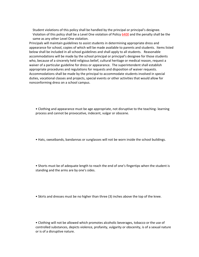Student violations of this policy shall be handled by the principal or principal's designee. Violation of this policy shall be a Level One violation of Policy [6400](http://policy.microscribepub.com/cgi-bin/om_isapi.dll?clientID=1508459093&infobase=wilson.nfo&jump=P6400&softpage=Document42#JUMPDEST_P6400) and the penalty shall be the same as any other Level One violation.

Principals will maintain guidelines to assist students in determining appropriate dress and appearance for school, copies of which will be made available to parents and students. Items listed below shall be included in all school guidelines and shall apply to all students. Reasonable accommodations will be made by the school principal or principal's designee for those students who, because of a sincerely held religious belief, cultural heritage or medical reason, request a waiver of a particular guideline for dress or appearance. The superintendent shall establish appropriate procedures and regulations for requests and disposition of waiver requests. Accommodations shall be made by the principal to accommodate students involved in special duties, vocational classes and projects, special events or other activities that would allow for nonconforming dress on a school campus.

• Clothing and appearance must be age appropriate, not disruptive to the teaching- learning process and cannot be provocative, indecent, vulgar or obscene.

• Hats, sweatbands, bandannas or sunglasses will not be worn inside the school buildings.

• Shorts must be of adequate length to reach the end of one's fingertips when the student is standing and the arms are by one's sides.

• Skirts and dresses must be no higher than three (3) inches above the top of the knee.

• Clothing will not be allowed which promotes alcoholic beverages, tobacco or the use of controlled substances, depicts violence, profanity, vulgarity or obscenity, is of a sexual nature or is of a disruptive nature.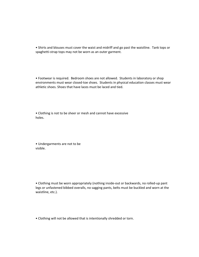• Shirts and blouses must cover the waist and midriff and go past the waistline. Tank tops or spaghetti-strap tops may not be worn as an outer garment.

• Footwear is required. Bedroom shoes are not allowed. Students in laboratory or shop environments must wear closed-toe shoes. Students in physical education classes must wear athletic shoes. Shoes that have laces must be laced and tied.

• Clothing is not to be sheer or mesh and cannot have excessive holes.

• Undergarments are not to be visible.

• Clothing must be worn appropriately (nothing inside-out or backwards, no rolled-up pant legs or unfastened bibbed overalls, no sagging pants, belts must be buckled and worn at the waistline, etc.).

• Clothing will not be allowed that is intentionally shredded or torn.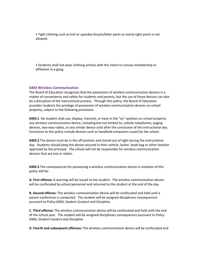• Tight clothing such as knit or spandex bicycle/biker pants or overly tight pants is not allowed.

• Students shall not wear clothing articles with the intent to convey membership or affiliation in a gang.

#### **6403 Wireless Communication**

The Board of Education recognizes that the possession of wireless communication devices is a matter of convenience and safety for students and parents, but the use of these devices can also be a disruption of the instructional process. Through this policy, the Board of Education provides students the privilege of possession of wireless communication devices on school property, subject to the following provisions.

**6403.1** No student shall use, display, transmit, or have in the "on" position on school property any wireless communication device, including but not limited to, cellular telephones, paging devices, two-way radios, or any similar device until after the conclusion of the instructional day. Exclusions to this policy include devices such as handheld computers issued by the school.

**6403.2** The device must be in the off position and stored out of sight during the instructional day. Students should keep the device secured in their vehicle, locker, book bag or other location approved by the principal. The school will not be responsible for wireless communication devices that are lost or stolen.

**6403.3** The consequences for possessing a wireless communication device in violation of this policy will be:

**A. First offense:** A warning will be issued to the student. The wireless communication device will be confiscated by school personnel and returned to the student at the end of the day.

**B. Second offense:** The wireless communication device will be confiscated and held until a parent conference is conducted. The student will be assigned disciplinary consequences pursuant to Policy 6400, *Student Conduct and Discipline*.

**C. Third offense:** The wireless communication device will be confiscated and held until the end of the school year. The student will be assigned disciplinary consequences pursuant to Policy 6400, *Student Conduct and Discipline*.

**D**. **Fourth and subsequent offenses:** The wireless communication device will be confiscated and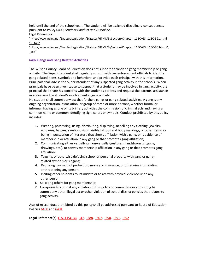held until the end of the school year. The student will be assigned disciplinary consequences pursuant to Policy 6400, *Student Conduct and Discipline*.

#### **Legal References:**

"http://www.ncleg.net/EnactedLegislation/Statutes/HTML/BySection/Chapter\_115C/GS\_115C-391.html  $\sqrt{2}$  top"

"http://www.ncleg.net/EnactedLegislation/Statutes/HTML/BySection/Chapter\_115C/GS\_115C-36.html \\ \_top"

#### **6402 Gangs and Gang Related Activities**

The Wilson County Board of Education does not support or condone gang membership or gang activity. The Superintendent shall regularly consult with law enforcement officials to identify gang-related items, symbols and behaviors, and provide each principal with this information. Principals shall advise the Superintendent of any suspected gang activity in the schools. When principals have been given cause to suspect that a student may be involved in gang activity, the principal shall share his concerns with the student's parents and request the parents' assistance in addressing the student's involvement in gang activity.

No student shall commit any act that furthers gangs or gang-related activities. A gang is any ongoing organization, association, or group of three or more persons, whether formal or informal, having as one of its primary activities the commission of criminal acts and having a common name or common identifying sign, colors or symbols. Conduct prohibited by this policy includes:

- **1.** Wearing, possessing, using, distributing, displaying, or selling any clothing, jewelry, emblems, badges, symbols, signs, visible tattoos and body markings, or other items, or being in possession of literature that shows affiliation with a gang, or is evidence of membership or affiliation in any gang or that promotes gang affiliation;
- **2.** Communicating either verbally or non-verbally (gestures, handshakes, slogans, drawings, etc.), to convey membership affiliation in any gang or that promotes gang affiliation;
- **3.** Tagging, or otherwise defacing school or personal property with gang or gangrelated symbols or slogans;
- **4.** Requiring payment of protection, money or insurance, or otherwise intimidating or threatening any person;
- **5.** Inciting other students to intimidate or to act with physical violence upon any other person;
- **6.** Soliciting others for gang membership;
- **7.** Conspiring to commit any violation of this policy or committing or conspiring to commit any other illegal act or other violation of school district policies that relates to gang activity.

Acts of misconduct prohibited by this policy shall be addressed pursuant to Board of Education Policies [6400](http://policy.microscribepub.com/cgi-bin/om_isapi.dll?clientID=208858774&headingswithhits=on&hitsperheading=on&infobase=wilson.nfo&jump=P6400&softpage=PL_frame#JUMPDEST_P6400) and [6401](http://policy.microscribepub.com/cgi-bin/om_isapi.dll?clientID=208858774&headingswithhits=on&hitsperheading=on&infobase=wilson.nfo&jump=P6401&softpage=PL_frame#JUMPDEST_P6401).

**Legal Reference(s**): G.S. [115C-36,](http://www.ncleg.net/EnactedLegislation/Statutes/HTML/BySection/Chapter_115C/GS_115C-36.html) [-47](http://www.ncleg.net/EnactedLegislation/Statutes/HTML/BySection/Chapter_115C/GS_115C-47.html), [-288,](http://www.ncleg.net/EnactedLegislation/Statutes/HTML/BySection/Chapter_115C/GS_115C-288.html) [-307,](http://www.ncleg.net/EnactedLegislation/Statutes/HTML/BySection/Chapter_115C/GS_115C-307.html) [-390](http://www.ncleg.net/EnactedLegislation/Statutes/HTML/BySection/Chapter_115C/GS_115C-390.html), [-391](http://www.ncleg.net/EnactedLegislation/Statutes/HTML/BySection/Chapter_115C/GS_115C-391.html), [-392](http://www.ncleg.net/EnactedLegislation/Statutes/HTML/BySection/Chapter_115C/GS_115C-392.html)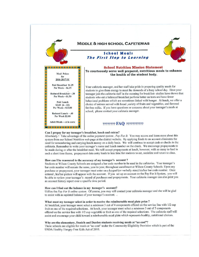

#### Can I prepay for my teenager's breakfast, lunch and extras?

Absolutely ! Take advantage of the online payment system, Pay For It. You may access and learn more about this system from our School Nutrition web page at the district website. By applying funds to an account eliminates the need for remembering and carrying lunch money on a daily basis. We will continue to accept cash or checks in the cafeteria. Remember to write your teenager's name and lunch number on the check. We encourage prepayments to be made during or after the breakfast meal. We will accept prepayments at lunch, however, with so many to feed in such a short time frame, prepayment data entry leads to less time for students to eat, socialize and return to class.

#### How can I be reassured to the accuracy of my teenager's account?

Students at Wilson County Schools are assigned a bar code number to be used in the cafeterias. Your teenager's bar code number will remain the same, year to year, throughout enrollment at Wilson County Schools. Upon any purchase or prepayment, your teenager must enter on a keypad (or verbally state) his/her bar code number. Once entered, his/her picture will appear with the account. If you set up an account on the Pay For It System, you will be able to review your teenager's record of purchases and prepayments. Your cafeteria manager can also print you an account history report over a specific time period.

#### How can I find out the balance in my teenager's account?

Utilize the Pay For It online system. Of course, you may still contact your cafeteria manager and she will be glad to assist with an updated balance of your teenager's account...

#### What must my teenager select in order to receive the reimbursable meal plate price?

At breakfast, your teenager must select a *minimum* 3 out of 4 components offered on the service line with 1/2 cup fruit as one of the required selections. At lunch, your teenager must select a minimum 3 out of 5 components offered on the service line with 1/2 cup vegetable or fruit as one of the required selections. The cafeteria staff will assist and encourage your child toward a reimbursable meal plate which represents healthy, nutritional choices.

#### Why are the elementary, Daniels and Darden students receiving meals at "no cost"?

These schools are eligible for meals at "no cost" under the Community Eligibility Provision which is part of the USDA Healthy Hungry-Free Kids Act of 2010.